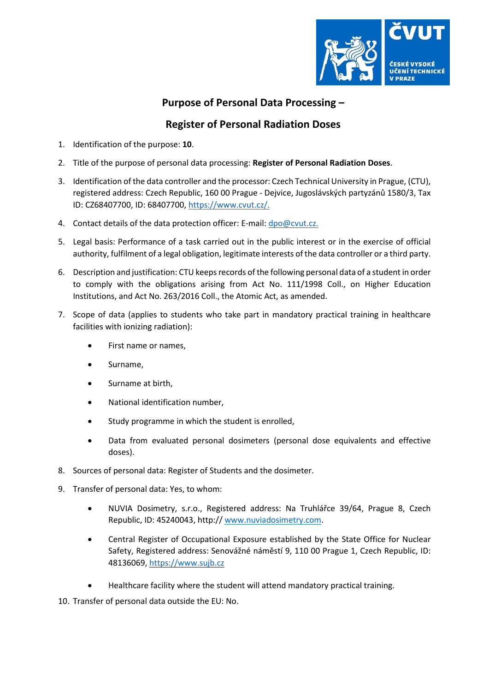

## **Purpose of Personal Data Processing –**

## **Register of Personal Radiation Doses**

- 1. Identification of the purpose: **10**.
- 2. Title of the purpose of personal data processing: **Register of Personal Radiation Doses**.
- 3. Identification of the data controller and the processor: Czech Technical University in Prague, (CTU), registered address: Czech Republic, 160 00 Prague - Dejvice, Jugoslávských partyzánů 1580/3, Tax ID: CZ68407700, ID: 68407700, [https://www.cvut.cz/.](https://www.cvut.cz/)
- 4. Contact details of the data protection officer: E-mail: [dpo@cvut.cz.](mailto:dpo@cvut.cz)
- 5. Legal basis: Performance of a task carried out in the public interest or in the exercise of official authority, fulfilment of a legal obligation, legitimate interests of the data controller or a third party.
- 6. Description and justification: CTU keeps records of the following personal data of a student in order to comply with the obligations arising from Act No. 111/1998 Coll., on Higher Education Institutions, and Act No. 263/2016 Coll., the Atomic Act, as amended.
- 7. Scope of data (applies to students who take part in mandatory practical training in healthcare facilities with ionizing radiation):
	- First name or names,
	- Surname,
	- Surname at birth,
	- National identification number,
	- Study programme in which the student is enrolled,
	- Data from evaluated personal dosimeters (personal dose equivalents and effective doses).
- 8. Sources of personal data: Register of Students and the dosimeter.
- 9. Transfer of personal data: Yes, to whom:
	- NUVIA Dosimetry, s.r.o., Registered address: Na Truhlářce 39/64, Prague 8, Czech Republic, ID: 45240043, http:// [www.nuviadosimetry.com.](http://www.nuviadosimetry.com/)
	- Central Register of Occupational Exposure established by the State Office for Nuclear Safety, Registered address: Senovážné náměstí 9, 110 00 Prague 1, Czech Republic, ID: 48136069, [https://www.sujb.cz](https://www.sujb.cz/)
	- Healthcare facility where the student will attend mandatory practical training.

10. Transfer of personal data outside the EU: No.